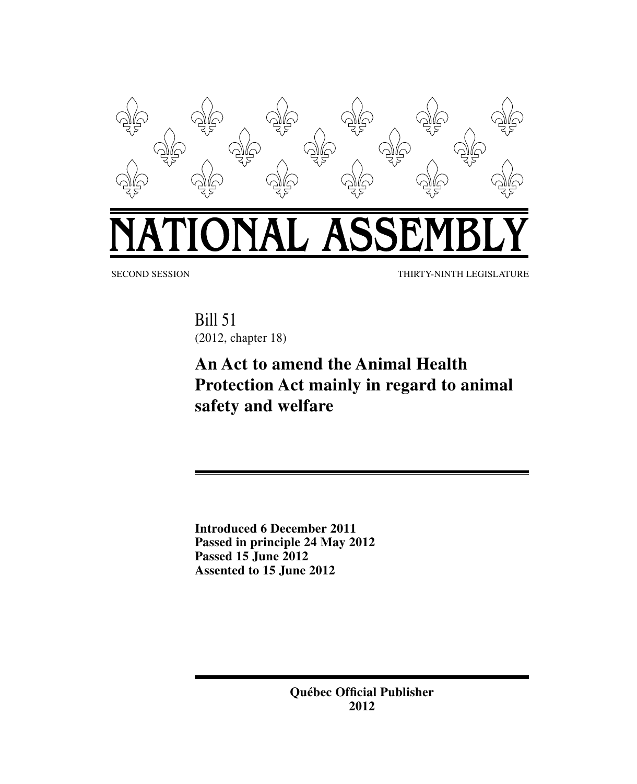

SECOND SESSION THIRTY-NINTH LEGISLATURE

Bill 51 (2012, chapter 18)

# **An Act to amend the Animal Health Protection Act mainly in regard to animal safety and welfare**

**Introduced 6 December 2011 Passed in principle 24 May 2012 Passed 15 June 2012 Assented to 15 June 2012**

> **Québec Official Publisher 2012**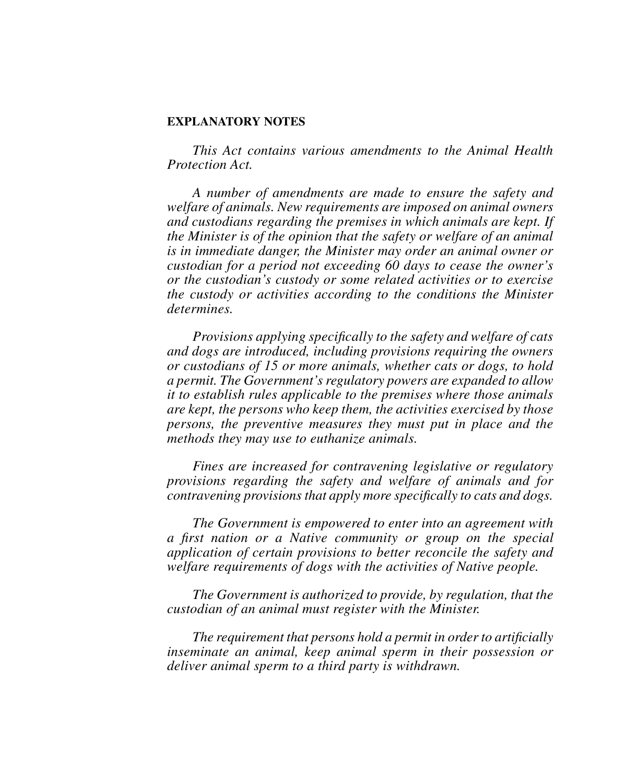### **EXPLANATORY NOTES**

*This Act contains various amendments to the Animal Health Protection Act.* 

*A number of amendments are made to ensure the safety and welfare of animals. New requirements are imposed on animal owners and custodians regarding the premises in which animals are kept. If the Minister is of the opinion that the safety or welfare of an animal is in immediate danger, the Minister may order an animal owner or custodian for a period not exceeding 60 days to cease the owner's or the custodian's custody or some related activities or to exercise the custody or activities according to the conditions the Minister determines.* 

*Provisions applying specifically to the safety and welfare of cats and dogs are introduced, including provisions requiring the owners or custodians of 15 or more animals, whether cats or dogs, to hold a permit. The Government's regulatory powers are expanded to allow it to establish rules applicable to the premises where those animals are kept, the persons who keep them, the activities exercised by those persons, the preventive measures they must put in place and the methods they may use to euthanize animals.*

*Fines are increased for contravening legislative or regulatory provisions regarding the safety and welfare of animals and for contravening provisions that apply more specifically to cats and dogs.*

*The Government is empowered to enter into an agreement with a first nation or a Native community or group on the special application of certain provisions to better reconcile the safety and welfare requirements of dogs with the activities of Native people.*

*The Government is authorized to provide, by regulation, that the custodian of an animal must register with the Minister.*

*The requirement that persons hold a permit in order to artificially inseminate an animal, keep animal sperm in their possession or deliver animal sperm to a third party is withdrawn.*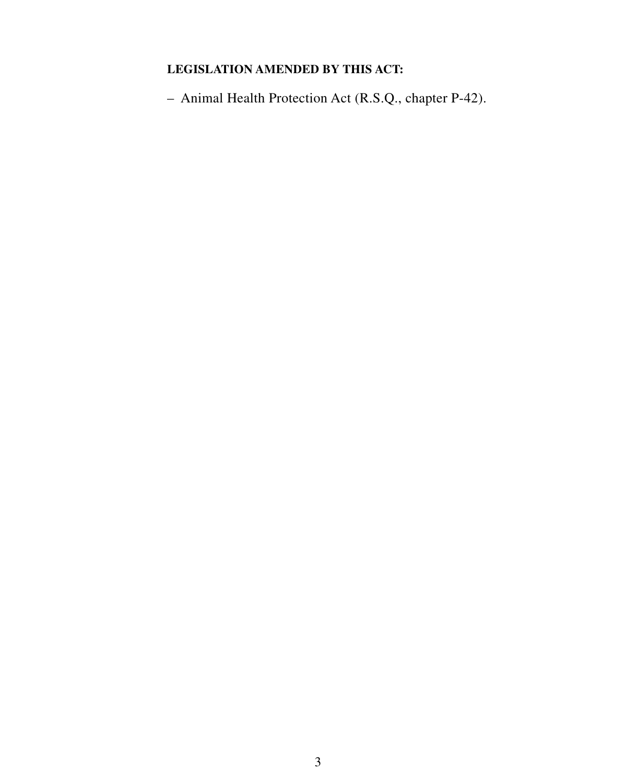### **LEGISLATION AMENDED BY THIS ACT:**

– Animal Health Protection Act (R.S.Q., chapter P-42).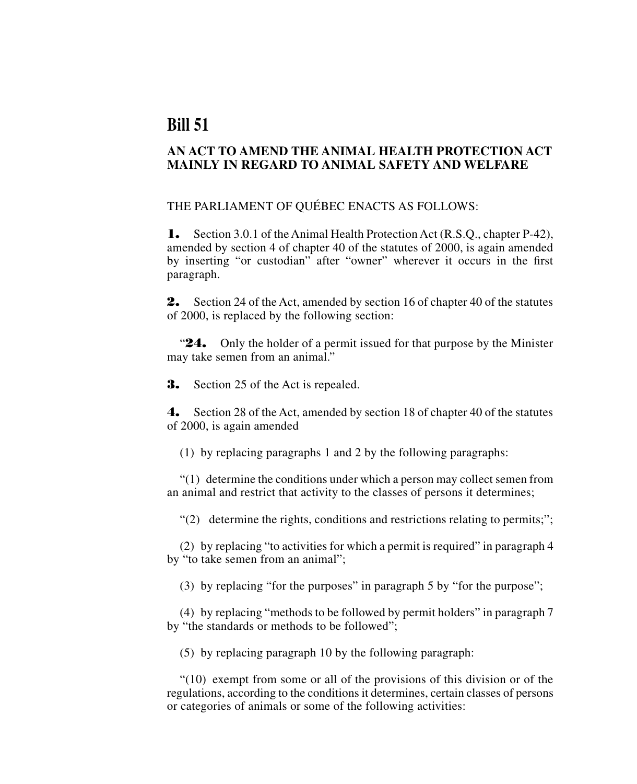## **Bill 51**

### **AN ACT TO AMEND THE ANIMAL HEALTH PROTECTION ACT MAINLY IN REGARD TO ANIMAL SAFETY AND WELFARE**

THE PARLIAMENT OF QUÉBEC ENACTS AS FOLLOWS:

1. Section 3.0.1 of the Animal Health Protection Act (R.S.O., chapter P-42), amended by section 4 of chapter 40 of the statutes of 2000, is again amended by inserting "or custodian" after "owner" wherever it occurs in the first paragraph.

2. Section 24 of the Act, amended by section 16 of chapter 40 of the statutes of 2000, is replaced by the following section:

**24.** Only the holder of a permit issued for that purpose by the Minister may take semen from an animal."

**3.** Section 25 of the Act is repealed.

4. Section 28 of the Act, amended by section 18 of chapter 40 of the statutes of 2000, is again amended

(1) by replacing paragraphs 1 and 2 by the following paragraphs:

"(1) determine the conditions under which a person may collect semen from an animal and restrict that activity to the classes of persons it determines;

 $\mathcal{L}(2)$  determine the rights, conditions and restrictions relating to permits;";

(2) by replacing "to activities for which a permit is required" in paragraph 4 by "to take semen from an animal";

(3) by replacing "for the purposes" in paragraph 5 by "for the purpose";

(4) by replacing "methods to be followed by permit holders" in paragraph 7 by "the standards or methods to be followed";

(5) by replacing paragraph 10 by the following paragraph:

"(10) exempt from some or all of the provisions of this division or of the regulations, according to the conditions it determines, certain classes of persons or categories of animals or some of the following activities: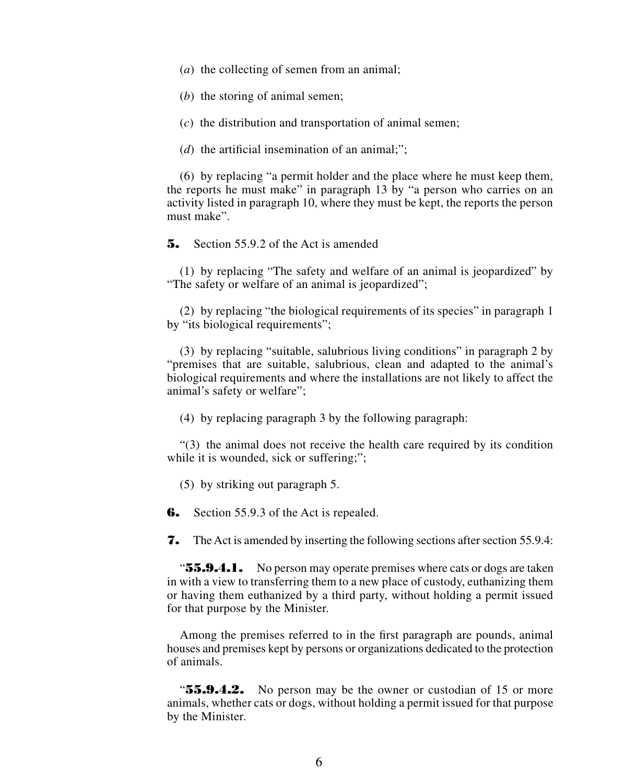- (*a*) the collecting of semen from an animal;
- (*b*) the storing of animal semen;
- (*c*) the distribution and transportation of animal semen;
- (*d*) the artificial insemination of an animal;";

(6) by replacing "a permit holder and the place where he must keep them, the reports he must make" in paragraph 13 by "a person who carries on an activity listed in paragraph 10, where they must be kept, the reports the person must make".

5. Section 55.9.2 of the Act is amended

(1) by replacing "The safety and welfare of an animal is jeopardized" by "The safety or welfare of an animal is jeopardized";

(2) by replacing "the biological requirements of its species" in paragraph 1 by "its biological requirements";

(3) by replacing "suitable, salubrious living conditions" in paragraph 2 by "premises that are suitable, salubrious, clean and adapted to the animal's biological requirements and where the installations are not likely to affect the animal's safety or welfare";

(4) by replacing paragraph 3 by the following paragraph:

"(3) the animal does not receive the health care required by its condition while it is wounded, sick or suffering;";

(5) by striking out paragraph 5.

**6.** Section 55.9.3 of the Act is repealed.

**7.** The Act is amended by inserting the following sections after section 55.9.4:

**"55.9.4.1.** No person may operate premises where cats or dogs are taken in with a view to transferring them to a new place of custody, euthanizing them or having them euthanized by a third party, without holding a permit issued for that purpose by the Minister.

Among the premises referred to in the first paragraph are pounds, animal houses and premises kept by persons or organizations dedicated to the protection of animals.

"55.9.4.2. No person may be the owner or custodian of 15 or more animals, whether cats or dogs, without holding a permit issued for that purpose by the Minister.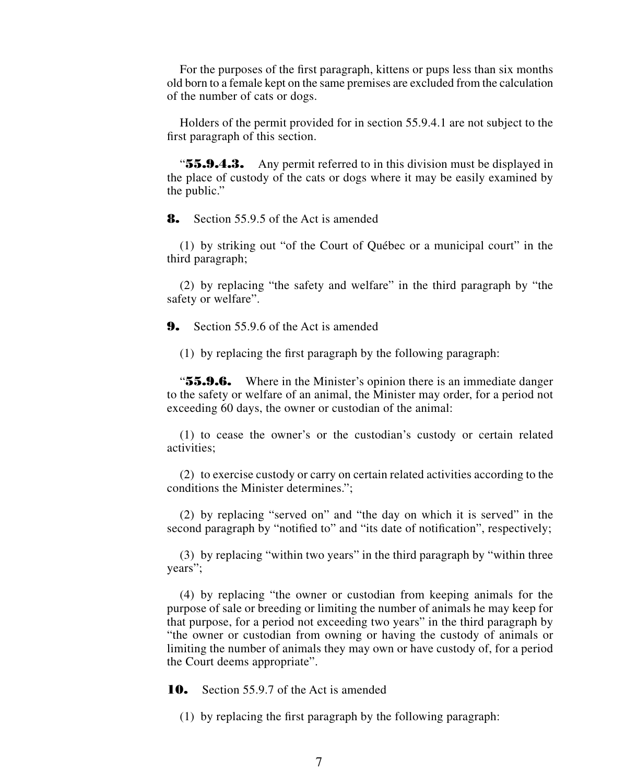For the purposes of the first paragraph, kittens or pups less than six months old born to a female kept on the same premises are excluded from the calculation of the number of cats or dogs.

Holders of the permit provided for in section 55.9.4.1 are not subject to the first paragraph of this section.

**"55.9.4.3.** Any permit referred to in this division must be displayed in the place of custody of the cats or dogs where it may be easily examined by the public."

**8.** Section 55.9.5 of the Act is amended

(1) by striking out "of the Court of Québec or a municipal court" in the third paragraph;

(2) by replacing "the safety and welfare" in the third paragraph by "the safety or welfare".

9. Section 55.9.6 of the Act is amended

(1) by replacing the first paragraph by the following paragraph:

"55.9.6. Where in the Minister's opinion there is an immediate danger to the safety or welfare of an animal, the Minister may order, for a period not exceeding 60 days, the owner or custodian of the animal:

(1) to cease the owner's or the custodian's custody or certain related activities;

(2) to exercise custody or carry on certain related activities according to the conditions the Minister determines.";

(2) by replacing "served on" and "the day on which it is served" in the second paragraph by "notified to" and "its date of notification", respectively;

(3) by replacing "within two years" in the third paragraph by "within three years";

(4) by replacing "the owner or custodian from keeping animals for the purpose of sale or breeding or limiting the number of animals he may keep for that purpose, for a period not exceeding two years" in the third paragraph by "the owner or custodian from owning or having the custody of animals or limiting the number of animals they may own or have custody of, for a period the Court deems appropriate".

**10.** Section 55.9.7 of the Act is amended

(1) by replacing the first paragraph by the following paragraph: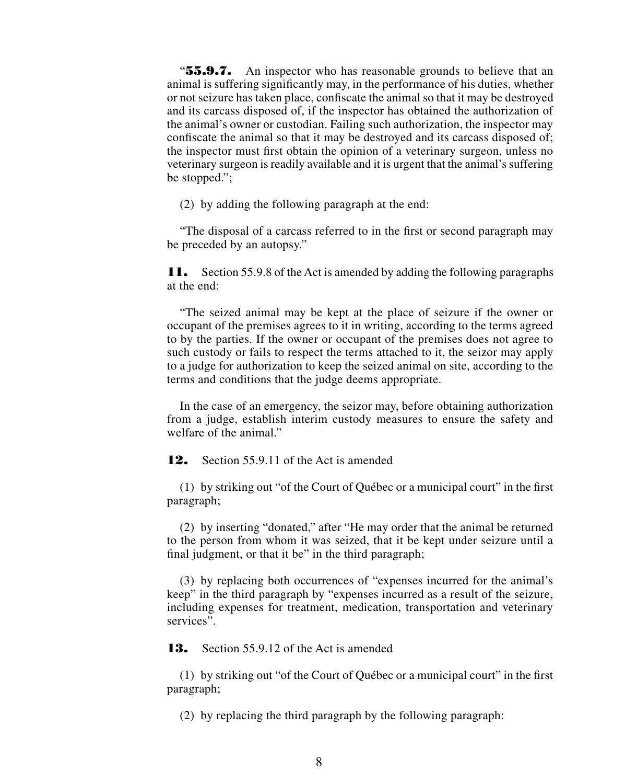**"55.9.7.** An inspector who has reasonable grounds to believe that an animal is suffering significantly may, in the performance of his duties, whether or not seizure has taken place, confiscate the animal so that it may be destroyed and its carcass disposed of, if the inspector has obtained the authorization of the animal's owner or custodian. Failing such authorization, the inspector may confiscate the animal so that it may be destroyed and its carcass disposed of; the inspector must first obtain the opinion of a veterinary surgeon, unless no veterinary surgeon is readily available and it is urgent that the animal's suffering be stopped.";

(2) by adding the following paragraph at the end:

"The disposal of a carcass referred to in the first or second paragraph may be preceded by an autopsy."

11. Section 55.9.8 of the Act is amended by adding the following paragraphs at the end:

"The seized animal may be kept at the place of seizure if the owner or occupant of the premises agrees to it in writing, according to the terms agreed to by the parties. If the owner or occupant of the premises does not agree to such custody or fails to respect the terms attached to it, the seizor may apply to a judge for authorization to keep the seized animal on site, according to the terms and conditions that the judge deems appropriate.

In the case of an emergency, the seizor may, before obtaining authorization from a judge, establish interim custody measures to ensure the safety and welfare of the animal."

12. Section 55.9.11 of the Act is amended

(1) by striking out "of the Court of Québec or a municipal court" in the first paragraph;

(2) by inserting "donated," after "He may order that the animal be returned to the person from whom it was seized, that it be kept under seizure until a final judgment, or that it be" in the third paragraph;

(3) by replacing both occurrences of "expenses incurred for the animal's keep" in the third paragraph by "expenses incurred as a result of the seizure, including expenses for treatment, medication, transportation and veterinary services".

13. Section 55.9.12 of the Act is amended

(1) by striking out "of the Court of Québec or a municipal court" in the first paragraph;

(2) by replacing the third paragraph by the following paragraph: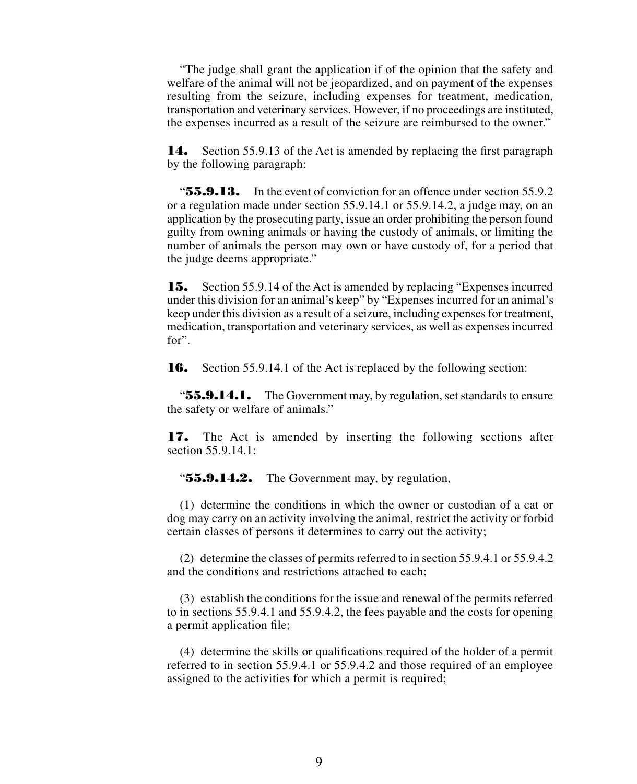"The judge shall grant the application if of the opinion that the safety and welfare of the animal will not be jeopardized, and on payment of the expenses resulting from the seizure, including expenses for treatment, medication, transportation and veterinary services. However, if no proceedings are instituted, the expenses incurred as a result of the seizure are reimbursed to the owner."

14. Section 55.9.13 of the Act is amended by replacing the first paragraph by the following paragraph:

" $\mathbf{55.9.13.}$  In the event of conviction for an offence under section 55.9.2 or a regulation made under section 55.9.14.1 or 55.9.14.2, a judge may, on an application by the prosecuting party, issue an order prohibiting the person found guilty from owning animals or having the custody of animals, or limiting the number of animals the person may own or have custody of, for a period that the judge deems appropriate."

15. Section 55.9.14 of the Act is amended by replacing "Expenses incurred under this division for an animal's keep" by "Expenses incurred for an animal's keep under this division as a result of a seizure, including expenses for treatment, medication, transportation and veterinary services, as well as expenses incurred for".

16. Section 55.9.14.1 of the Act is replaced by the following section:

" $\bf{55.9.14.1.}$  The Government may, by regulation, set standards to ensure the safety or welfare of animals."

17. The Act is amended by inserting the following sections after section 55.9.14.1:

" $55.9.14.2$ . The Government may, by regulation,

(1) determine the conditions in which the owner or custodian of a cat or dog may carry on an activity involving the animal, restrict the activity or forbid certain classes of persons it determines to carry out the activity;

(2) determine the classes of permits referred to in section 55.9.4.1 or 55.9.4.2 and the conditions and restrictions attached to each;

(3) establish the conditions for the issue and renewal of the permits referred to in sections 55.9.4.1 and 55.9.4.2, the fees payable and the costs for opening a permit application file;

(4) determine the skills or qualifications required of the holder of a permit referred to in section 55.9.4.1 or 55.9.4.2 and those required of an employee assigned to the activities for which a permit is required;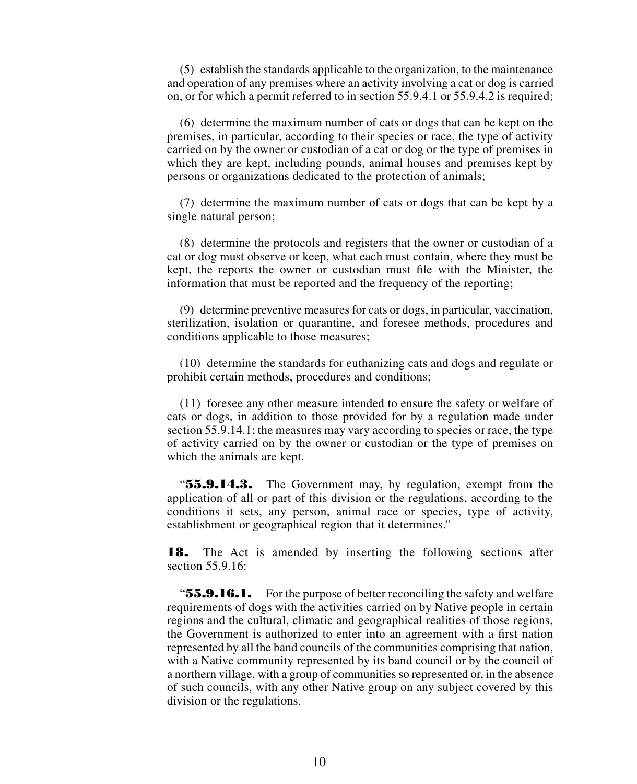(5) establish the standards applicable to the organization, to the maintenance and operation of any premises where an activity involving a cat or dog is carried on, or for which a permit referred to in section 55.9.4.1 or 55.9.4.2 is required;

(6) determine the maximum number of cats or dogs that can be kept on the premises, in particular, according to their species or race, the type of activity carried on by the owner or custodian of a cat or dog or the type of premises in which they are kept, including pounds, animal houses and premises kept by persons or organizations dedicated to the protection of animals;

(7) determine the maximum number of cats or dogs that can be kept by a single natural person;

(8) determine the protocols and registers that the owner or custodian of a cat or dog must observe or keep, what each must contain, where they must be kept, the reports the owner or custodian must file with the Minister, the information that must be reported and the frequency of the reporting;

(9) determine preventive measures for cats or dogs, in particular, vaccination, sterilization, isolation or quarantine, and foresee methods, procedures and conditions applicable to those measures;

(10) determine the standards for euthanizing cats and dogs and regulate or prohibit certain methods, procedures and conditions;

(11) foresee any other measure intended to ensure the safety or welfare of cats or dogs, in addition to those provided for by a regulation made under section 55.9.14.1; the measures may vary according to species or race, the type of activity carried on by the owner or custodian or the type of premises on which the animals are kept.

"55.9.14.3. The Government may, by regulation, exempt from the application of all or part of this division or the regulations, according to the conditions it sets, any person, animal race or species, type of activity, establishment or geographical region that it determines."

**18.** The Act is amended by inserting the following sections after section 55.9.16:

" $\bf{55.9.16.1.}$  For the purpose of better reconciling the safety and welfare requirements of dogs with the activities carried on by Native people in certain regions and the cultural, climatic and geographical realities of those regions, the Government is authorized to enter into an agreement with a first nation represented by all the band councils of the communities comprising that nation, with a Native community represented by its band council or by the council of a northern village, with a group of communities so represented or, in the absence of such councils, with any other Native group on any subject covered by this division or the regulations.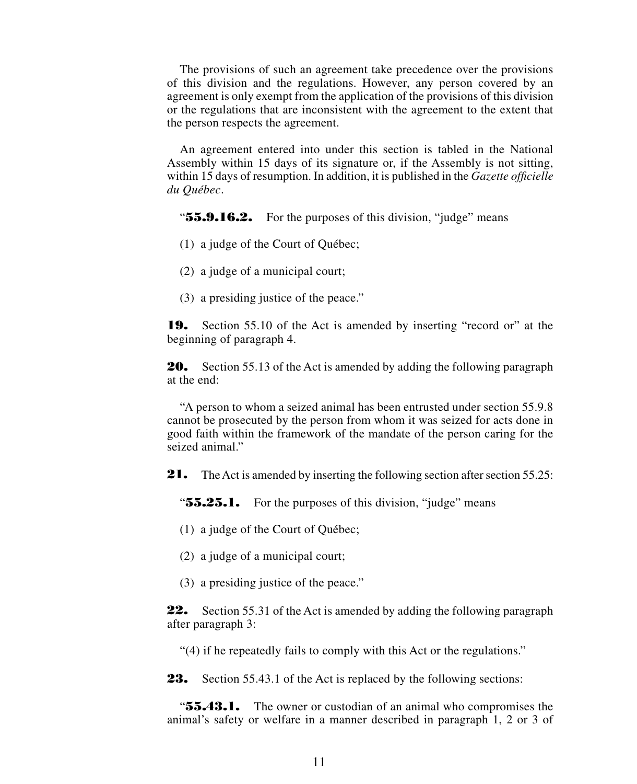The provisions of such an agreement take precedence over the provisions of this division and the regulations. However, any person covered by an agreement is only exempt from the application of the provisions of this division or the regulations that are inconsistent with the agreement to the extent that the person respects the agreement.

An agreement entered into under this section is tabled in the National Assembly within 15 days of its signature or, if the Assembly is not sitting, within 15 days of resumption. In addition, it is published in the *Gazette officielle du Québec*.

" $\mathbf{55.9.16.2.}$  For the purposes of this division, "judge" means

- (1) a judge of the Court of Québec;
- (2) a judge of a municipal court;
- (3) a presiding justice of the peace."

19. Section 55.10 of the Act is amended by inserting "record or" at the beginning of paragraph 4.

**20.** Section 55.13 of the Act is amended by adding the following paragraph at the end:

"A person to whom a seized animal has been entrusted under section 55.9.8 cannot be prosecuted by the person from whom it was seized for acts done in good faith within the framework of the mandate of the person caring for the seized animal."

21. The Act is amended by inserting the following section after section 55.25:

"**55.25.1.** For the purposes of this division, "judge" means

- (1) a judge of the Court of Québec;
- (2) a judge of a municipal court;
- (3) a presiding justice of the peace."

**22.** Section 55.31 of the Act is amended by adding the following paragraph after paragraph 3:

"(4) if he repeatedly fails to comply with this Act or the regulations."

**23.** Section 55.43.1 of the Act is replaced by the following sections:

**"55.43.1.** The owner or custodian of an animal who compromises the animal's safety or welfare in a manner described in paragraph 1, 2 or 3 of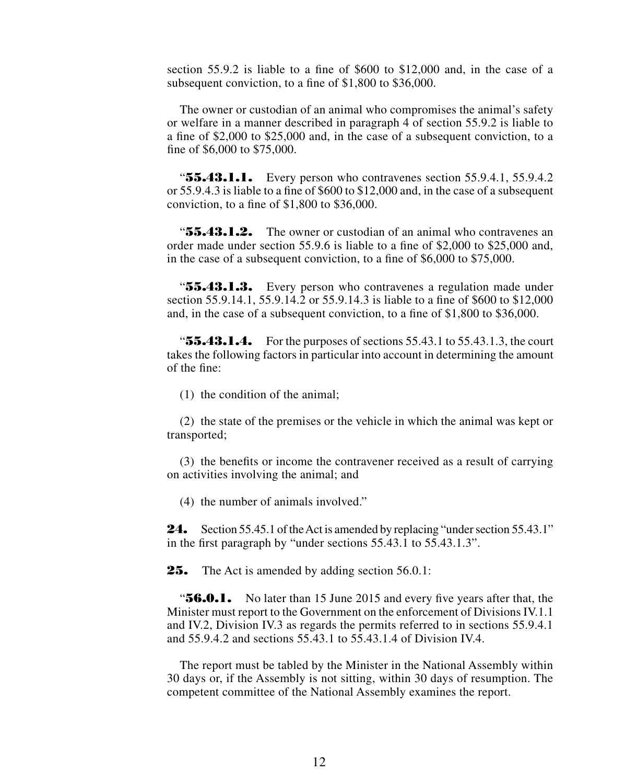section 55.9.2 is liable to a fine of \$600 to \$12,000 and, in the case of a subsequent conviction, to a fine of \$1,800 to \$36,000.

The owner or custodian of an animal who compromises the animal's safety or welfare in a manner described in paragraph 4 of section 55.9.2 is liable to a fine of \$2,000 to \$25,000 and, in the case of a subsequent conviction, to a fine of \$6,000 to \$75,000.

" $\textbf{55.43.1.1.}$  Every person who contravenes section 55.9.4.1, 55.9.4.2 or 55.9.4.3 is liable to a fine of \$600 to \$12,000 and, in the case of a subsequent conviction, to a fine of \$1,800 to \$36,000.

" $\mathbf{55.43.1.2.}$  The owner or custodian of an animal who contravenes an order made under section 55.9.6 is liable to a fine of \$2,000 to \$25,000 and, in the case of a subsequent conviction, to a fine of \$6,000 to \$75,000.

"55.43.1.3. Every person who contravenes a regulation made under section 55.9.14.1, 55.9.14.2 or 55.9.14.3 is liable to a fine of \$600 to \$12,000 and, in the case of a subsequent conviction, to a fine of \$1,800 to \$36,000.

" $\mathbf{55.43.1.4.}$  For the purposes of sections 55.43.1 to 55.43.1.3, the court takes the following factors in particular into account in determining the amount of the fine:

(1) the condition of the animal;

(2) the state of the premises or the vehicle in which the animal was kept or transported;

(3) the benefits or income the contravener received as a result of carrying on activities involving the animal; and

(4) the number of animals involved."

24. Section 55.45.1 of the Act is amended by replacing "under section 55.43.1" in the first paragraph by "under sections 55.43.1 to 55.43.1.3".

**25.** The Act is amended by adding section 56.0.1:

**"56.0.1.** No later than 15 June 2015 and every five years after that, the Minister must report to the Government on the enforcement of Divisions IV.1.1 and IV.2, Division IV.3 as regards the permits referred to in sections 55.9.4.1 and 55.9.4.2 and sections 55.43.1 to 55.43.1.4 of Division IV.4.

The report must be tabled by the Minister in the National Assembly within 30 days or, if the Assembly is not sitting, within 30 days of resumption. The competent committee of the National Assembly examines the report.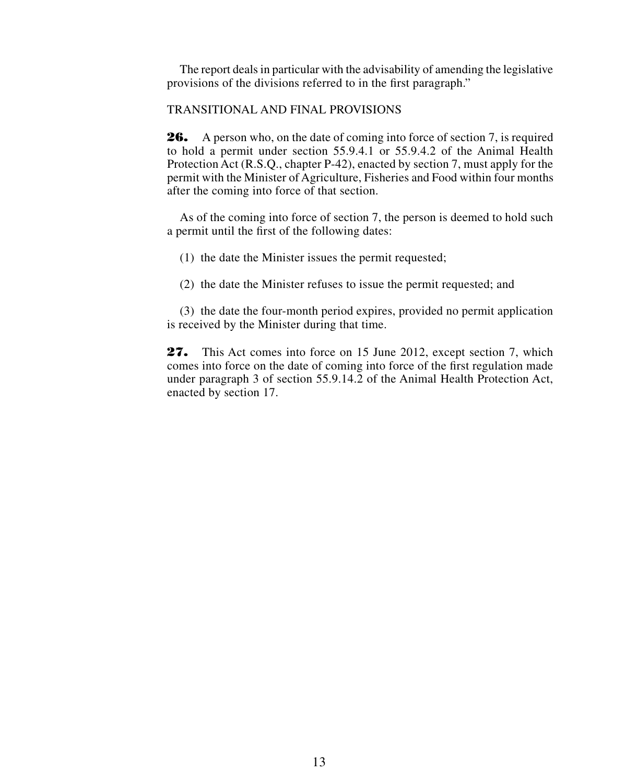The report deals in particular with the advisability of amending the legislative provisions of the divisions referred to in the first paragraph."

#### TRANSITIONAL AND FINAL PROVISIONS

26. A person who, on the date of coming into force of section 7, is required to hold a permit under section 55.9.4.1 or 55.9.4.2 of the Animal Health Protection Act (R.S.Q., chapter P-42), enacted by section 7, must apply for the permit with the Minister of Agriculture, Fisheries and Food within four months after the coming into force of that section.

As of the coming into force of section 7, the person is deemed to hold such a permit until the first of the following dates:

- (1) the date the Minister issues the permit requested;
- (2) the date the Minister refuses to issue the permit requested; and

(3) the date the four-month period expires, provided no permit application is received by the Minister during that time.

27. This Act comes into force on 15 June 2012, except section 7, which comes into force on the date of coming into force of the first regulation made under paragraph 3 of section 55.9.14.2 of the Animal Health Protection Act, enacted by section 17.